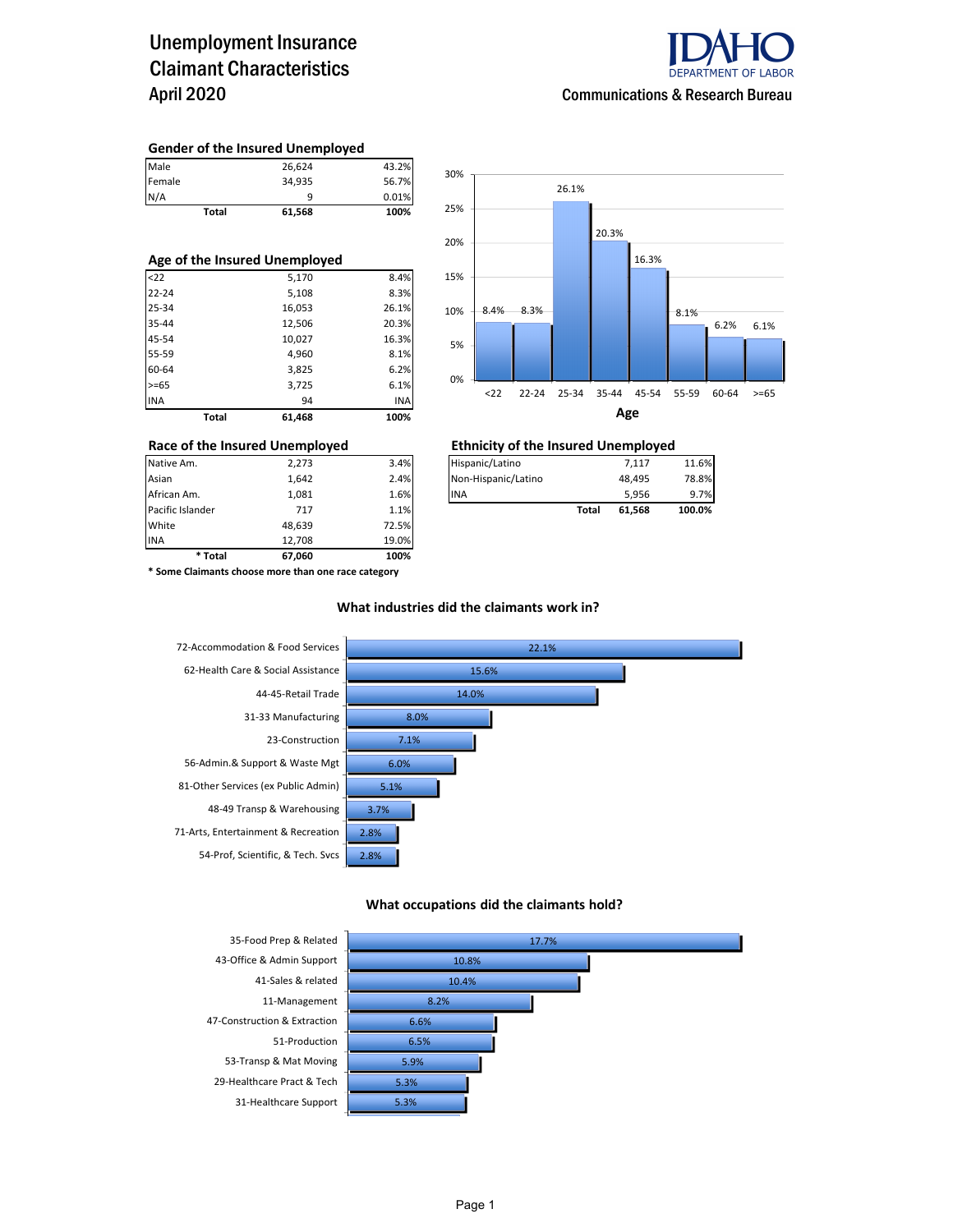## Unemployment Insurance Claimant Characteristics April 2020



#### **Gender of the Insured Unemployed**

|               | Total | 61,568 | 100%  |
|---------------|-------|--------|-------|
|               |       | a      | 0.01% |
| Female<br>N/A |       | 34,935 | 56.7% |
| Male          |       | 26,624 | 43.2% |

#### **Age of the Insured Unemployed**

| Total      | 61,468 | 100%       |
|------------|--------|------------|
| <b>INA</b> | 94     | <b>INA</b> |
| $>= 65$    | 3,725  | 6.1%       |
| 60-64      | 3,825  | 6.2%       |
| 55-59      | 4,960  | 8.1%       |
| 45-54      | 10,027 | 16.3%      |
| 35-44      | 12,506 | 20.3%      |
| 25-34      | 16,053 | 26.1%      |
| $22 - 24$  | 5,108  | 8.3%       |
| $22$       | 5,170  | 8.4%       |



### **Race of the Insured Unemployed Ethnicity of the Insured Unemployed**

| Native Am.       | 2.273 | 3.4% | Hispanic/Latino     |       | 7.117  | 11.6%  |
|------------------|-------|------|---------------------|-------|--------|--------|
| Asian            | 1.642 | 2.4% | Non-Hispanic/Latino |       | 48.495 | 78.8%  |
| African Am.      | 1.081 | 1.6% | <b>INA</b>          |       | 5.956  | 9.7%   |
|                  |       |      |                     |       |        |        |
| Pacific Islander | 717   | 1.1% |                     | Total | 61.568 | 100.0% |

**\* Some Claimants choose more than one race category**

Pacific Islander **Table 717** 1.1% White 48,639 72.5% INA 12,708 19.0% **\* Total 67,060 100%**

### **What industries did the claimants work in?**



#### **What occupations did the claimants hold?**

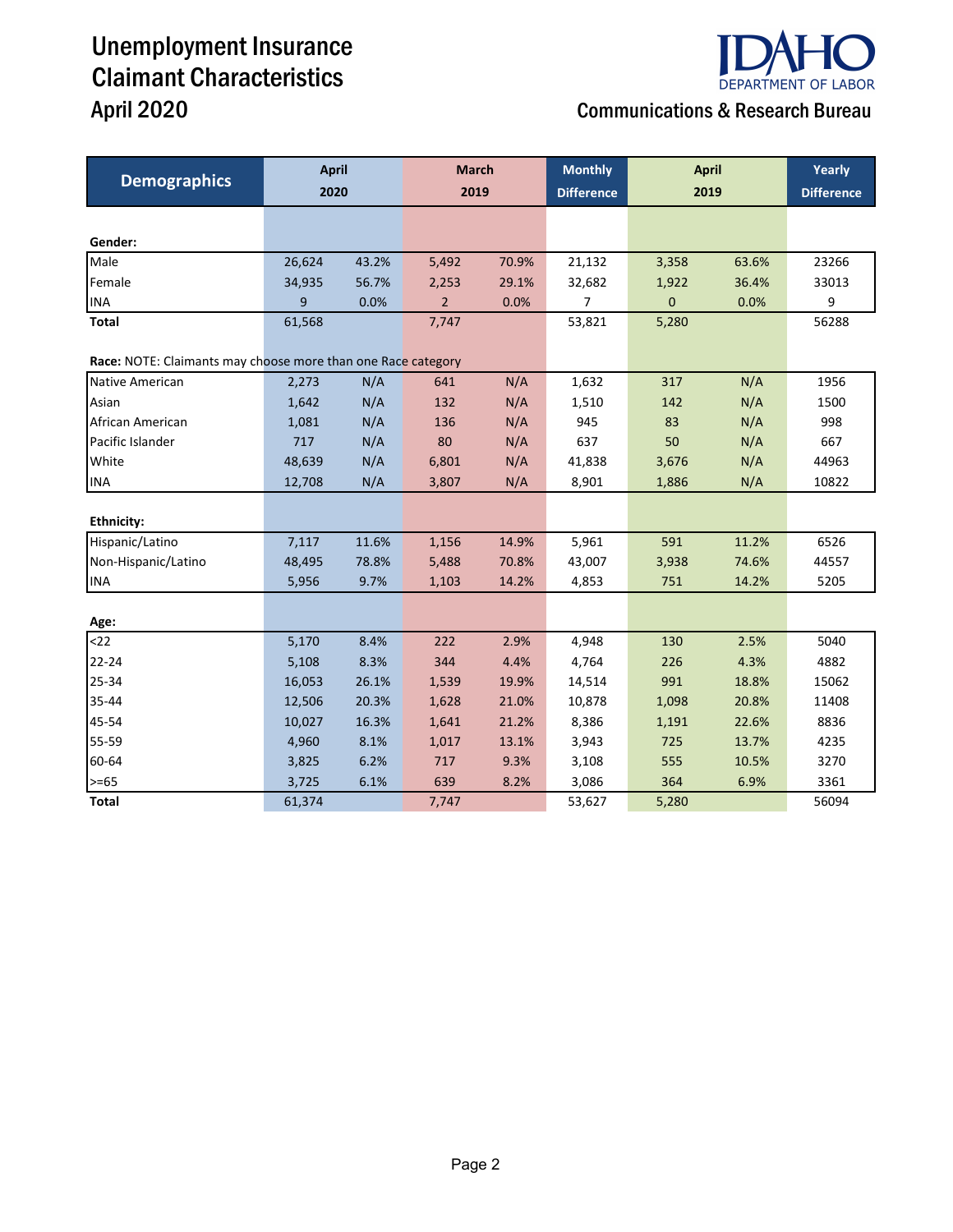# Unemployment Insurance Claimant Characteristics April 2020 Communications & Research Bureau



|                                                              | <b>April</b> |       | <b>March</b>   |       | <b>Monthly</b>    | <b>April</b> | Yearly |                   |
|--------------------------------------------------------------|--------------|-------|----------------|-------|-------------------|--------------|--------|-------------------|
| <b>Demographics</b>                                          | 2020         |       | 2019           |       | <b>Difference</b> | 2019         |        | <b>Difference</b> |
|                                                              |              |       |                |       |                   |              |        |                   |
| Gender:                                                      |              |       |                |       |                   |              |        |                   |
| Male                                                         | 26,624       | 43.2% | 5,492          | 70.9% | 21,132            | 3,358        | 63.6%  | 23266             |
| Female                                                       | 34,935       | 56.7% | 2,253          | 29.1% | 32,682            | 1,922        | 36.4%  | 33013             |
| <b>INA</b>                                                   | 9            | 0.0%  | $\overline{2}$ | 0.0%  | 7                 | $\mathbf 0$  | 0.0%   | 9                 |
| Total                                                        | 61,568       |       | 7,747          |       | 53,821            | 5,280        |        | 56288             |
| Race: NOTE: Claimants may choose more than one Race category |              |       |                |       |                   |              |        |                   |
| Native American                                              | 2,273        | N/A   | 641            | N/A   | 1,632             | 317          | N/A    | 1956              |
| Asian                                                        | 1,642        | N/A   | 132            | N/A   | 1,510             | 142          | N/A    | 1500              |
| African American                                             | 1,081        | N/A   | 136            | N/A   | 945               | 83           | N/A    | 998               |
| Pacific Islander                                             | 717          | N/A   | 80             | N/A   | 637               | 50           | N/A    | 667               |
| White                                                        | 48,639       | N/A   | 6,801          | N/A   | 41,838            | 3,676        | N/A    | 44963             |
| <b>INA</b>                                                   | 12,708       | N/A   | 3,807          | N/A   | 8,901             | 1,886        | N/A    | 10822             |
|                                                              |              |       |                |       |                   |              |        |                   |
| <b>Ethnicity:</b>                                            |              |       |                |       |                   |              |        |                   |
| Hispanic/Latino                                              | 7,117        | 11.6% | 1,156          | 14.9% | 5,961             | 591          | 11.2%  | 6526              |
| Non-Hispanic/Latino                                          | 48,495       | 78.8% | 5,488          | 70.8% | 43,007            | 3,938        | 74.6%  | 44557             |
| <b>INA</b>                                                   | 5,956        | 9.7%  | 1,103          | 14.2% | 4,853             | 751          | 14.2%  | 5205              |
|                                                              |              |       |                |       |                   |              |        |                   |
| Age:                                                         |              |       |                |       |                   |              |        |                   |
| $22$                                                         | 5,170        | 8.4%  | 222            | 2.9%  | 4,948             | 130          | 2.5%   | 5040              |
| 22-24                                                        | 5,108        | 8.3%  | 344            | 4.4%  | 4,764             | 226          | 4.3%   | 4882              |
| 25-34                                                        | 16,053       | 26.1% | 1,539          | 19.9% | 14,514            | 991          | 18.8%  | 15062             |
| 35-44                                                        | 12,506       | 20.3% | 1,628          | 21.0% | 10,878            | 1,098        | 20.8%  | 11408             |
| 45-54                                                        | 10,027       | 16.3% | 1,641          | 21.2% | 8,386             | 1,191        | 22.6%  | 8836              |
| 55-59                                                        | 4,960        | 8.1%  | 1,017          | 13.1% | 3,943             | 725          | 13.7%  | 4235              |
| 60-64                                                        | 3,825        | 6.2%  | 717            | 9.3%  | 3,108             | 555          | 10.5%  | 3270              |
| $>= 65$                                                      | 3,725        | 6.1%  | 639            | 8.2%  | 3,086             | 364          | 6.9%   | 3361              |
| <b>Total</b>                                                 | 61,374       |       | 7,747          |       | 53,627            | 5,280        |        | 56094             |